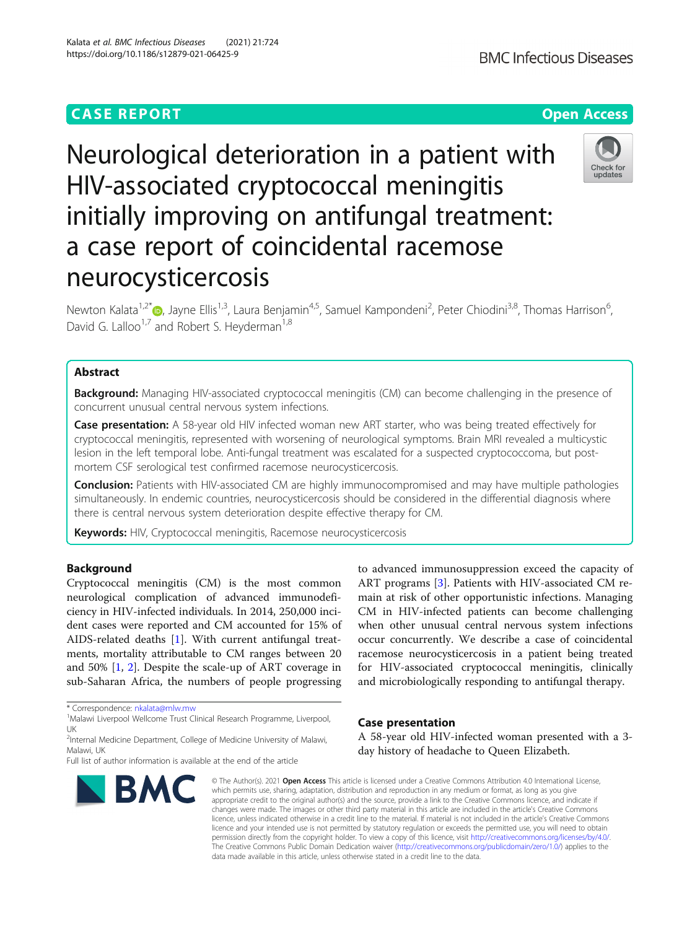## **CASE REPORT CASE ACCESS**

Neurological deterioration in a patient with HIV-associated cryptococcal meningitis initially improving on antifungal treatment: a case report of coincidental racemose neurocysticercosis

Newton Kalata<sup>1,2\*</sup>®, Jayne Ellis<sup>1,3</sup>, Laura Benjamin<sup>4,5</sup>, Samuel Kampondeni<sup>2</sup>, Peter Chiodini<sup>3,8</sup>, Thomas Harrison<sup>6</sup> , David G. Lalloo<sup>1,7</sup> and Robert S. Heyderman<sup>1,8</sup>

### Abstract

**Background:** Managing HIV-associated cryptococcal meningitis (CM) can become challenging in the presence of concurrent unusual central nervous system infections.

Case presentation: A 58-year old HIV infected woman new ART starter, who was being treated effectively for cryptococcal meningitis, represented with worsening of neurological symptoms. Brain MRI revealed a multicystic lesion in the left temporal lobe. Anti-fungal treatment was escalated for a suspected cryptococcoma, but postmortem CSF serological test confirmed racemose neurocysticercosis.

**Conclusion:** Patients with HIV-associated CM are highly immunocompromised and may have multiple pathologies simultaneously. In endemic countries, neurocysticercosis should be considered in the differential diagnosis where there is central nervous system deterioration despite effective therapy for CM.

Keywords: HIV, Cryptococcal meningitis, Racemose neurocysticercosis

#### Background

Cryptococcal meningitis (CM) is the most common neurological complication of advanced immunodeficiency in HIV-infected individuals. In 2014, 250,000 incident cases were reported and CM accounted for 15% of AIDS-related deaths [[1\]](#page-3-0). With current antifungal treatments, mortality attributable to CM ranges between 20 and 50% [\[1](#page-3-0), [2\]](#page-3-0). Despite the scale-up of ART coverage in sub-Saharan Africa, the numbers of people progressing

\* Correspondence: [nkalata@mlw.mw](mailto:nkalata@mlw.mw) <sup>1</sup>

<sup>1</sup>Malawi Liverpool Wellcome Trust Clinical Research Programme, Liverpool, UK

<sup>2</sup>Internal Medicine Department, College of Medicine University of Malawi, Malawi, UK

# Case presentation

A 58-year old HIV-infected woman presented with a 3 day history of headache to Queen Elizabeth.

to advanced immunosuppression exceed the capacity of ART programs [\[3](#page-3-0)]. Patients with HIV-associated CM remain at risk of other opportunistic infections. Managing CM in HIV-infected patients can become challenging when other unusual central nervous system infections occur concurrently. We describe a case of coincidental racemose neurocysticercosis in a patient being treated for HIV-associated cryptococcal meningitis, clinically and microbiologically responding to antifungal therapy.

© The Author(s), 2021 **Open Access** This article is licensed under a Creative Commons Attribution 4.0 International License, which permits use, sharing, adaptation, distribution and reproduction in any medium or format, as long as you give appropriate credit to the original author(s) and the source, provide a link to the Creative Commons licence, and indicate if changes were made. The images or other third party material in this article are included in the article's Creative Commons licence, unless indicated otherwise in a credit line to the material. If material is not included in the article's Creative Commons licence and your intended use is not permitted by statutory regulation or exceeds the permitted use, you will need to obtain permission directly from the copyright holder. To view a copy of this licence, visit [http://creativecommons.org/licenses/by/4.0/.](http://creativecommons.org/licenses/by/4.0/) The Creative Commons Public Domain Dedication waiver [\(http://creativecommons.org/publicdomain/zero/1.0/](http://creativecommons.org/publicdomain/zero/1.0/)) applies to the data made available in this article, unless otherwise stated in a credit line to the data.

**BMC Infectious Diseases** 

# https://doi.org/10.1186/s12879-021-06425-9

Kalata et al. BMC Infectious Diseases (2021) 21:724





Full list of author information is available at the end of the article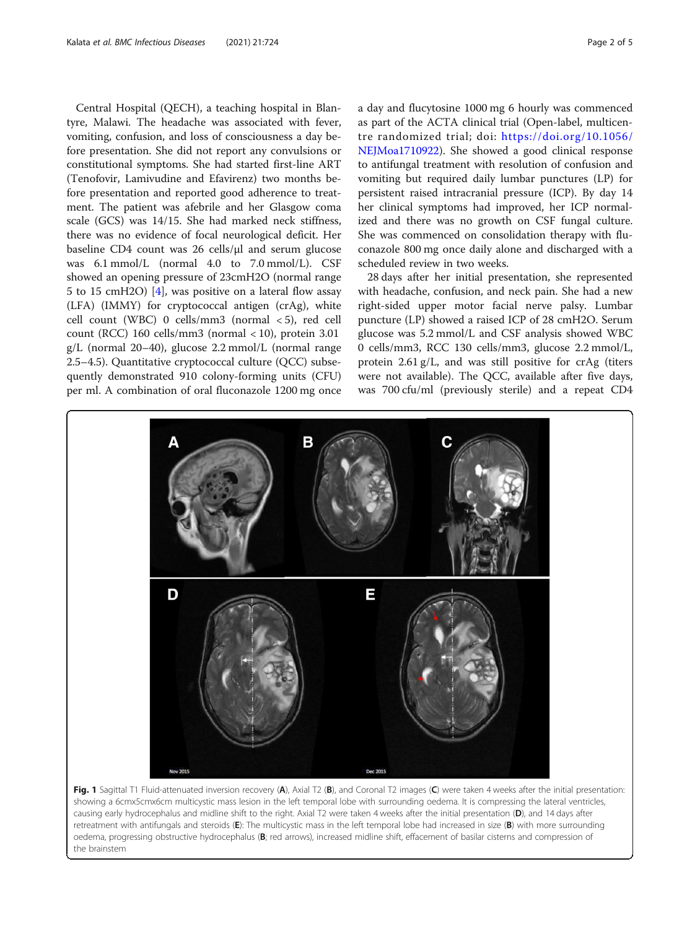<span id="page-1-0"></span>Central Hospital (QECH), a teaching hospital in Blantyre, Malawi. The headache was associated with fever, vomiting, confusion, and loss of consciousness a day before presentation. She did not report any convulsions or constitutional symptoms. She had started first-line ART (Tenofovir, Lamivudine and Efavirenz) two months before presentation and reported good adherence to treatment. The patient was afebrile and her Glasgow coma scale (GCS) was 14/15. She had marked neck stiffness, there was no evidence of focal neurological deficit. Her baseline CD4 count was 26 cells/μl and serum glucose was 6.1 mmol/L (normal 4.0 to 7.0 mmol/L). CSF showed an opening pressure of 23cmH2O (normal range 5 to 15 cmH2O) [\[4](#page-3-0)], was positive on a lateral flow assay (LFA) (IMMY) for cryptococcal antigen (crAg), white cell count (WBC) 0 cells/mm3 (normal < 5), red cell count (RCC) 160 cells/mm3 (normal  $<$  10), protein 3.01 g/L (normal 20–40), glucose 2.2 mmol/L (normal range 2.5–4.5). Quantitative cryptococcal culture (QCC) subsequently demonstrated 910 colony-forming units (CFU) per ml. A combination of oral fluconazole 1200 mg once a day and flucytosine 1000 mg 6 hourly was commenced as part of the ACTA clinical trial (Open-label, multicentre randomized trial; doi: [https://doi.org/10.1056/](https://doi.org/10.1056/NEJMoa1710922) [NEJMoa1710922\)](https://doi.org/10.1056/NEJMoa1710922). She showed a good clinical response to antifungal treatment with resolution of confusion and vomiting but required daily lumbar punctures (LP) for persistent raised intracranial pressure (ICP). By day 14 her clinical symptoms had improved, her ICP normalized and there was no growth on CSF fungal culture. She was commenced on consolidation therapy with fluconazole 800 mg once daily alone and discharged with a scheduled review in two weeks.

28 days after her initial presentation, she represented with headache, confusion, and neck pain. She had a new right-sided upper motor facial nerve palsy. Lumbar puncture (LP) showed a raised ICP of 28 cmH2O. Serum glucose was 5.2 mmol/L and CSF analysis showed WBC 0 cells/mm3, RCC 130 cells/mm3, glucose 2.2 mmol/L, protein 2.61 g/L, and was still positive for crAg (titers were not available). The QCC, available after five days, was 700 cfu/ml (previously sterile) and a repeat CD4



Fig. 1 Sagittal T1 Fluid-attenuated inversion recovery (A), Axial T2 (B), and Coronal T2 images (C) were taken 4 weeks after the initial presentation: showing a 6cmx5cmx6cm multicystic mass lesion in the left temporal lobe with surrounding oedema. It is compressing the lateral ventricles, causing early hydrocephalus and midline shift to the right. Axial T2 were taken 4 weeks after the initial presentation (D), and 14 days after retreatment with antifungals and steroids (E): The multicystic mass in the left temporal lobe had increased in size (B) with more surrounding oedema, progressing obstructive hydrocephalus (B; red arrows), increased midline shift, effacement of basilar cisterns and compression of the brainstem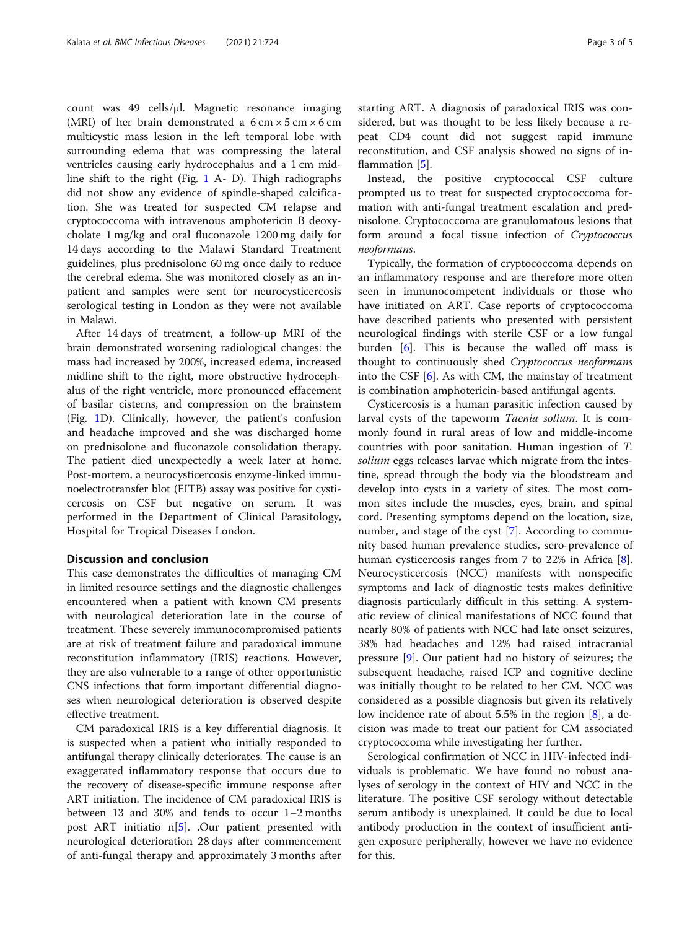count was 49 cells/μl. Magnetic resonance imaging (MRI) of her brain demonstrated a  $6 \text{ cm} \times 5 \text{ cm} \times 6 \text{ cm}$ multicystic mass lesion in the left temporal lobe with surrounding edema that was compressing the lateral ventricles causing early hydrocephalus and a 1 cm midline shift to the right (Fig. [1](#page-1-0) A- D). Thigh radiographs did not show any evidence of spindle-shaped calcification. She was treated for suspected CM relapse and cryptococcoma with intravenous amphotericin B deoxycholate 1 mg/kg and oral fluconazole 1200 mg daily for 14 days according to the Malawi Standard Treatment guidelines, plus prednisolone 60 mg once daily to reduce the cerebral edema. She was monitored closely as an inpatient and samples were sent for neurocysticercosis serological testing in London as they were not available in Malawi.

After 14 days of treatment, a follow-up MRI of the brain demonstrated worsening radiological changes: the mass had increased by 200%, increased edema, increased midline shift to the right, more obstructive hydrocephalus of the right ventricle, more pronounced effacement of basilar cisterns, and compression on the brainstem (Fig. [1](#page-1-0)D). Clinically, however, the patient's confusion and headache improved and she was discharged home on prednisolone and fluconazole consolidation therapy. The patient died unexpectedly a week later at home. Post-mortem, a neurocysticercosis enzyme-linked immunoelectrotransfer blot (EITB) assay was positive for cysticercosis on CSF but negative on serum. It was performed in the Department of Clinical Parasitology, Hospital for Tropical Diseases London.

#### Discussion and conclusion

This case demonstrates the difficulties of managing CM in limited resource settings and the diagnostic challenges encountered when a patient with known CM presents with neurological deterioration late in the course of treatment. These severely immunocompromised patients are at risk of treatment failure and paradoxical immune reconstitution inflammatory (IRIS) reactions. However, they are also vulnerable to a range of other opportunistic CNS infections that form important differential diagnoses when neurological deterioration is observed despite effective treatment.

CM paradoxical IRIS is a key differential diagnosis. It is suspected when a patient who initially responded to antifungal therapy clinically deteriorates. The cause is an exaggerated inflammatory response that occurs due to the recovery of disease-specific immune response after ART initiation. The incidence of CM paradoxical IRIS is between 13 and 30% and tends to occur 1–2 months post ART initiatio n[[5\]](#page-3-0). .Our patient presented with neurological deterioration 28 days after commencement of anti-fungal therapy and approximately 3 months after starting ART. A diagnosis of paradoxical IRIS was considered, but was thought to be less likely because a repeat CD4 count did not suggest rapid immune reconstitution, and CSF analysis showed no signs of inflammation [[5\]](#page-3-0).

Instead, the positive cryptococcal CSF culture prompted us to treat for suspected cryptococcoma formation with anti-fungal treatment escalation and prednisolone. Cryptococcoma are granulomatous lesions that form around a focal tissue infection of Cryptococcus neoformans.

Typically, the formation of cryptococcoma depends on an inflammatory response and are therefore more often seen in immunocompetent individuals or those who have initiated on ART. Case reports of cryptococcoma have described patients who presented with persistent neurological findings with sterile CSF or a low fungal burden [[6](#page-4-0)]. This is because the walled off mass is thought to continuously shed Cryptococcus neoformans into the CSF [\[6\]](#page-4-0). As with CM, the mainstay of treatment is combination amphotericin-based antifungal agents.

Cysticercosis is a human parasitic infection caused by larval cysts of the tapeworm Taenia solium. It is commonly found in rural areas of low and middle-income countries with poor sanitation. Human ingestion of T. solium eggs releases larvae which migrate from the intestine, spread through the body via the bloodstream and develop into cysts in a variety of sites. The most common sites include the muscles, eyes, brain, and spinal cord. Presenting symptoms depend on the location, size, number, and stage of the cyst [\[7](#page-4-0)]. According to community based human prevalence studies, sero-prevalence of human cysticercosis ranges from 7 to 22% in Africa [\[8](#page-4-0)]. Neurocysticercosis (NCC) manifests with nonspecific symptoms and lack of diagnostic tests makes definitive diagnosis particularly difficult in this setting. A systematic review of clinical manifestations of NCC found that nearly 80% of patients with NCC had late onset seizures, 38% had headaches and 12% had raised intracranial pressure [[9\]](#page-4-0). Our patient had no history of seizures; the subsequent headache, raised ICP and cognitive decline was initially thought to be related to her CM. NCC was considered as a possible diagnosis but given its relatively low incidence rate of about 5.5% in the region [[8\]](#page-4-0), a decision was made to treat our patient for CM associated cryptococcoma while investigating her further.

Serological confirmation of NCC in HIV-infected individuals is problematic. We have found no robust analyses of serology in the context of HIV and NCC in the literature. The positive CSF serology without detectable serum antibody is unexplained. It could be due to local antibody production in the context of insufficient antigen exposure peripherally, however we have no evidence for this.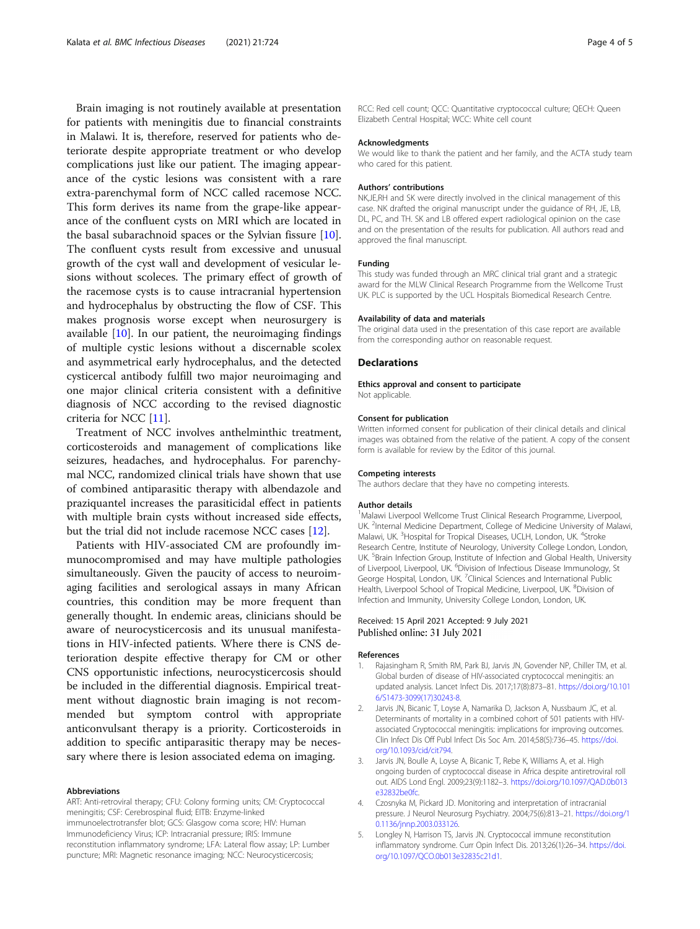<span id="page-3-0"></span>Brain imaging is not routinely available at presentation for patients with meningitis due to financial constraints in Malawi. It is, therefore, reserved for patients who deteriorate despite appropriate treatment or who develop complications just like our patient. The imaging appearance of the cystic lesions was consistent with a rare extra-parenchymal form of NCC called racemose NCC. This form derives its name from the grape-like appearance of the confluent cysts on MRI which are located in the basal subarachnoid spaces or the Sylvian fissure [\[10](#page-4-0)]. The confluent cysts result from excessive and unusual growth of the cyst wall and development of vesicular lesions without scoleces. The primary effect of growth of the racemose cysts is to cause intracranial hypertension and hydrocephalus by obstructing the flow of CSF. This makes prognosis worse except when neurosurgery is available  $[10]$  $[10]$ . In our patient, the neuroimaging findings of multiple cystic lesions without a discernable scolex and asymmetrical early hydrocephalus, and the detected cysticercal antibody fulfill two major neuroimaging and one major clinical criteria consistent with a definitive diagnosis of NCC according to the revised diagnostic criteria for NCC [[11\]](#page-4-0).

Treatment of NCC involves anthelminthic treatment, corticosteroids and management of complications like seizures, headaches, and hydrocephalus. For parenchymal NCC, randomized clinical trials have shown that use of combined antiparasitic therapy with albendazole and praziquantel increases the parasiticidal effect in patients with multiple brain cysts without increased side effects, but the trial did not include racemose NCC cases [[12](#page-4-0)].

Patients with HIV-associated CM are profoundly immunocompromised and may have multiple pathologies simultaneously. Given the paucity of access to neuroimaging facilities and serological assays in many African countries, this condition may be more frequent than generally thought. In endemic areas, clinicians should be aware of neurocysticercosis and its unusual manifestations in HIV-infected patients. Where there is CNS deterioration despite effective therapy for CM or other CNS opportunistic infections, neurocysticercosis should be included in the differential diagnosis. Empirical treatment without diagnostic brain imaging is not recommended but symptom control with appropriate anticonvulsant therapy is a priority. Corticosteroids in addition to specific antiparasitic therapy may be necessary where there is lesion associated edema on imaging.

#### Abbreviations

ART: Anti-retroviral therapy; CFU: Colony forming units; CM: Cryptococcal meningitis; CSF: Cerebrospinal fluid; EITB: Enzyme-linked immunoelectrotransfer blot; GCS: Glasgow coma score; HIV: Human Immunodeficiency Virus; ICP: Intracranial pressure; IRIS: Immune reconstitution inflammatory syndrome; LFA: Lateral flow assay; LP: Lumber puncture; MRI: Magnetic resonance imaging; NCC: Neurocysticercosis;

RCC: Red cell count; QCC: Quantitative cryptococcal culture; QECH: Queen Elizabeth Central Hospital; WCC: White cell count

#### Acknowledgments

We would like to thank the patient and her family, and the ACTA study team who cared for this patient.

#### Authors' contributions

NK,JE,RH and SK were directly involved in the clinical management of this case. NK drafted the original manuscript under the guidance of RH, JE, LB, DL, PC, and TH. SK and LB offered expert radiological opinion on the case and on the presentation of the results for publication. All authors read and approved the final manuscript.

#### Funding

This study was funded through an MRC clinical trial grant and a strategic award for the MLW Clinical Research Programme from the Wellcome Trust UK. PLC is supported by the UCL Hospitals Biomedical Research Centre.

#### Availability of data and materials

The original data used in the presentation of this case report are available from the corresponding author on reasonable request.

#### **Declarations**

#### Ethics approval and consent to participate

Not applicable.

#### Consent for publication

Written informed consent for publication of their clinical details and clinical images was obtained from the relative of the patient. A copy of the consent form is available for review by the Editor of this journal.

#### Competing interests

The authors declare that they have no competing interests.

#### Author details

<sup>1</sup>Malawi Liverpool Wellcome Trust Clinical Research Programme, Liverpool, UK. <sup>2</sup>Internal Medicine Department, College of Medicine University of Malawi Malawi, UK.<sup>3</sup> Hospital for Tropical Diseases, UCLH, London, UK.<sup>4</sup> Stroke Research Centre, Institute of Neurology, University College London, London, UK. <sup>5</sup>Brain Infection Group, Institute of Infection and Global Health, University of Liverpool, Liverpool, UK. <sup>6</sup>Division of Infectious Disease Immunology, St George Hospital, London, UK.<sup>7</sup> Clinical Sciences and International Public Health, Liverpool School of Tropical Medicine, Liverpool, UK. <sup>8</sup>Division of Infection and Immunity, University College London, London, UK.

#### Received: 15 April 2021 Accepted: 9 July 2021 Published online: 31 July 2021

#### References

- Rajasingham R, Smith RM, Park BJ, Jarvis JN, Govender NP, Chiller TM, et al. Global burden of disease of HIV-associated cryptococcal meningitis: an updated analysis. Lancet Infect Dis. 2017;17(8):873–81. [https://doi.org/10.101](https://doi.org/10.1016/S1473-3099(17)30243-8) [6/S1473-3099\(17\)30243-8](https://doi.org/10.1016/S1473-3099(17)30243-8).
- 2. Jarvis JN, Bicanic T, Loyse A, Namarika D, Jackson A, Nussbaum JC, et al. Determinants of mortality in a combined cohort of 501 patients with HIVassociated Cryptococcal meningitis: implications for improving outcomes. Clin Infect Dis Off Publ Infect Dis Soc Am. 2014;58(5):736–45. [https://doi.](https://doi.org/10.1093/cid/cit794) [org/10.1093/cid/cit794.](https://doi.org/10.1093/cid/cit794)
- Jarvis JN, Boulle A, Loyse A, Bicanic T, Rebe K, Williams A, et al. High ongoing burden of cryptococcal disease in Africa despite antiretroviral roll out. AIDS Lond Engl. 2009;23(9):1182–3. [https://doi.org/10.1097/QAD.0b013](https://doi.org/10.1097/QAD.0b013e32832be0fc) [e32832be0fc.](https://doi.org/10.1097/QAD.0b013e32832be0fc)
- 4. Czosnyka M, Pickard JD. Monitoring and interpretation of intracranial pressure. J Neurol Neurosurg Psychiatry. 2004;75(6):813–21. [https://doi.org/1](https://doi.org/10.1136/jnnp.2003.033126) [0.1136/jnnp.2003.033126.](https://doi.org/10.1136/jnnp.2003.033126)
- Longley N, Harrison TS, Jarvis JN. Cryptococcal immune reconstitution inflammatory syndrome. Curr Opin Infect Dis. 2013;26(1):26–34. [https://doi.](https://doi.org/10.1097/QCO.0b013e32835c21d1) [org/10.1097/QCO.0b013e32835c21d1.](https://doi.org/10.1097/QCO.0b013e32835c21d1)